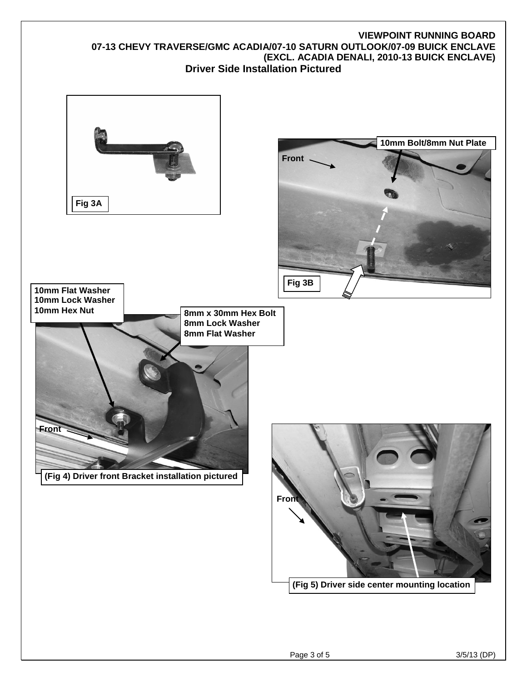## **VGSSB-0815-1261AL 07-13 CHEVY TRAVERSE/GMC ACADIA/07-10 SATURN OUTLOOK/07-09 BUICK ENCLAVE (EXCL. ACADIA DENALI, 2010-13 BUICK ENCLAVE) Driver Side Installation Pictured**

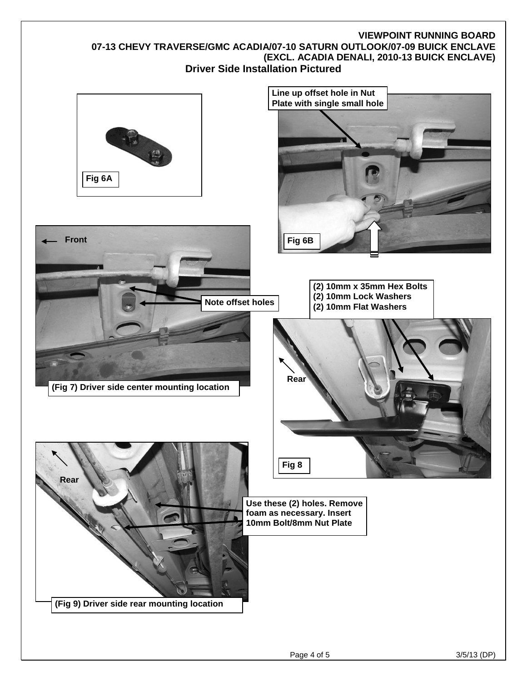## **VGSSB-0815-1261AL 07-13 CHEVY TRAVERSE/GMC ACADIA/07-10 SATURN OUTLOOK/07-09 BUICK ENCLAVE (EXCL. ACADIA DENALI, 2010-13 BUICK ENCLAVE) Driver Side Installation Pictured**

**Note offset holes** 











**(Fig 7) Driver side center mounting location**

**Use these (2) holes. Remove foam as necessary. Insert 10mm Bolt/8mm Nut Plate**

Page 4 of 5